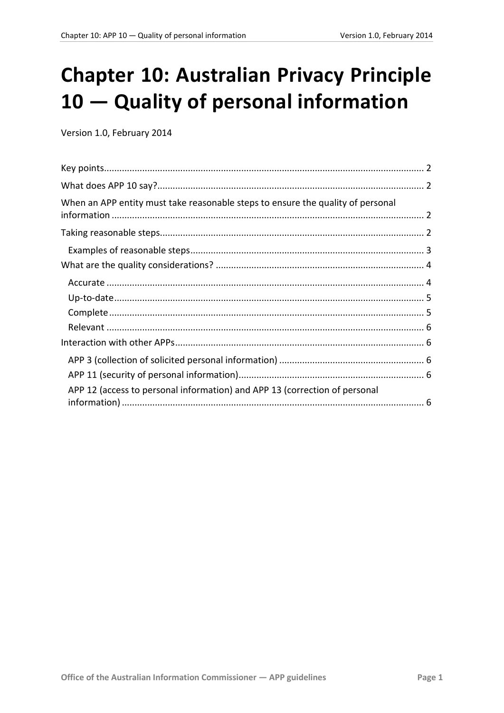# **Chapter 10: Australian Privacy Principle** 10 - Quality of personal information

Version 1.0, February 2014

<span id="page-0-0"></span>

| When an APP entity must take reasonable steps to ensure the quality of personal |  |
|---------------------------------------------------------------------------------|--|
|                                                                                 |  |
|                                                                                 |  |
|                                                                                 |  |
|                                                                                 |  |
|                                                                                 |  |
|                                                                                 |  |
|                                                                                 |  |
|                                                                                 |  |
|                                                                                 |  |
|                                                                                 |  |
| APP 12 (access to personal information) and APP 13 (correction of personal      |  |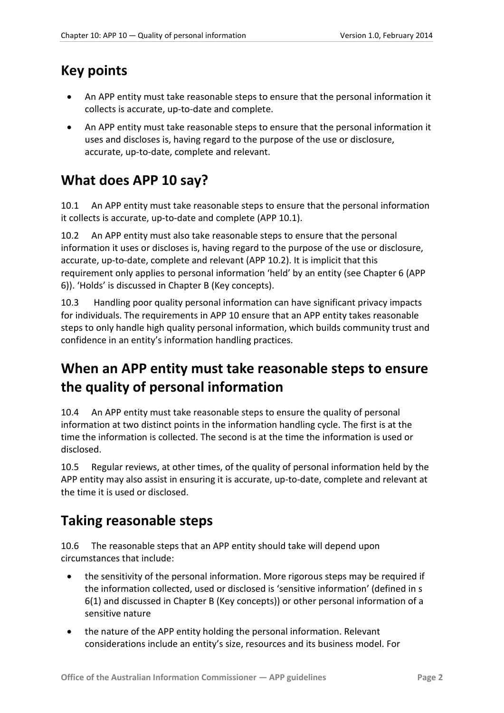### <span id="page-1-0"></span>**Key points**

- An APP entity must take reasonable steps to ensure that the personal information it collects is accurate, up-to-date and complete.
- An APP entity must take reasonable steps to ensure that the personal information it uses and discloses is, having regard to the purpose of the use or disclosure, accurate, up-to-date, complete and relevant.

# <span id="page-1-1"></span>**What does APP 10 say?**

10.1 An APP entity must take reasonable steps to ensure that the personal information it collects is accurate, up-to-date and complete (APP 10.1).

10.2 An APP entity must also take reasonable steps to ensure that the personal information it uses or discloses is, having regard to the purpose of the use or disclosure, accurate, up-to-date, complete and relevant (APP 10.2). It is implicit that this requirement only applies to personal information 'held' by an entity (see Chapter 6 (APP 6)). 'Holds' is discussed in Chapter B (Key concepts).

10.3 Handling poor quality personal information can have significant privacy impacts for individuals. The requirements in APP 10 ensure that an APP entity takes reasonable steps to only handle high quality personal information, which builds community trust and confidence in an entity's information handling practices.

# <span id="page-1-2"></span>**When an APP entity must take reasonable steps to ensure the quality of personal information**

10.4 An APP entity must take reasonable steps to ensure the quality of personal information at two distinct points in the information handling cycle. The first is at the time the information is collected. The second is at the time the information is used or disclosed.

10.5 Regular reviews, at other times, of the quality of personal information held by the APP entity may also assist in ensuring it is accurate, up-to-date, complete and relevant at the time it is used or disclosed.

### <span id="page-1-3"></span>**Taking reasonable steps**

10.6 The reasonable steps that an APP entity should take will depend upon circumstances that include:

- the sensitivity of the personal information. More rigorous steps may be required if the information collected, used or disclosed is 'sensitive information' (defined in s 6(1) and discussed in Chapter B (Key concepts)) or other personal information of a sensitive nature
- the nature of the APP entity holding the personal information. Relevant considerations include an entity's size, resources and its business model. For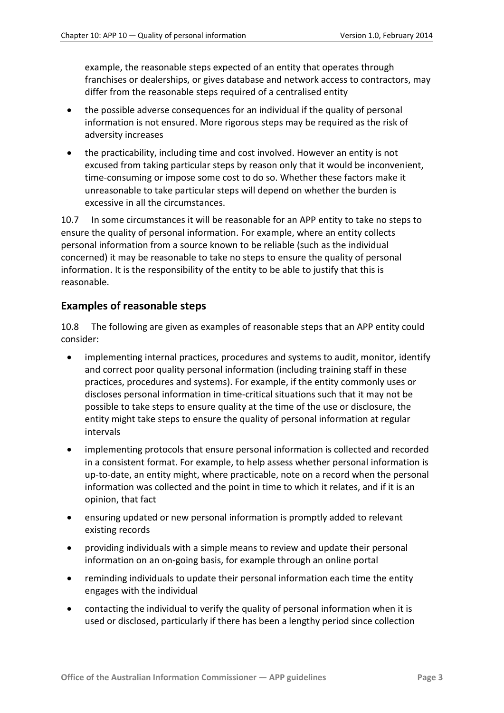example, the reasonable steps expected of an entity that operates through franchises or dealerships, or gives database and network access to contractors, may differ from the reasonable steps required of a centralised entity

- the possible adverse consequences for an individual if the quality of personal information is not ensured. More rigorous steps may be required as the risk of adversity increases
- the practicability, including time and cost involved. However an entity is not excused from taking particular steps by reason only that it would be inconvenient, time-consuming or impose some cost to do so. Whether these factors make it unreasonable to take particular steps will depend on whether the burden is excessive in all the circumstances.

10.7 In some circumstances it will be reasonable for an APP entity to take no steps to ensure the quality of personal information. For example, where an entity collects personal information from a source known to be reliable (such as the individual concerned) it may be reasonable to take no steps to ensure the quality of personal information. It is the responsibility of the entity to be able to justify that this is reasonable.

#### <span id="page-2-0"></span>**Examples of reasonable steps**

<span id="page-2-1"></span>10.8 The following are given as examples of reasonable steps that an APP entity could consider:

- implementing internal practices, procedures and systems to audit, monitor, identify and correct poor quality personal information (including training staff in these practices, procedures and systems). For example, if the entity commonly uses or discloses personal information in time-critical situations such that it may not be possible to take steps to ensure quality at the time of the use or disclosure, the entity might take steps to ensure the quality of personal information at regular intervals
- implementing protocols that ensure personal information is collected and recorded in a consistent format. For example, to help assess whether personal information is up-to-date, an entity might, where practicable, note on a record when the personal information was collected and the point in time to which it relates, and if it is an opinion, that fact
- ensuring updated or new personal information is promptly added to relevant existing records
- providing individuals with a simple means to review and update their personal information on an on-going basis, for example through an online portal
- reminding individuals to update their personal information each time the entity engages with the individual
- contacting the individual to verify the quality of personal information when it is used or disclosed, particularly if there has been a lengthy period since collection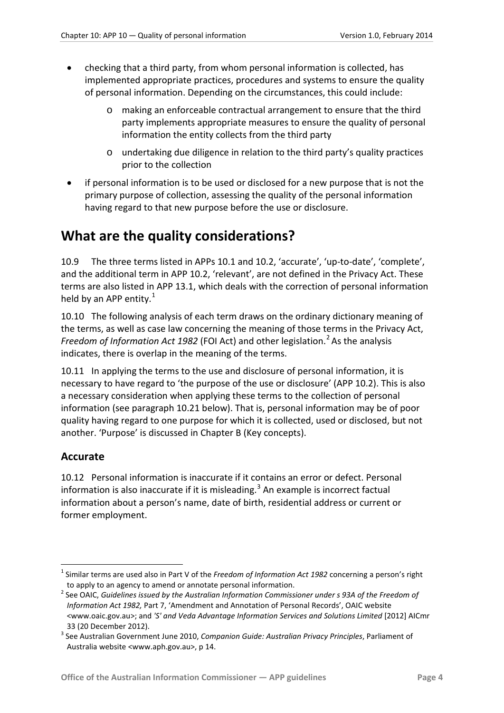- checking that a third party, from whom personal information is collected, has implemented appropriate practices, procedures and systems to ensure the quality of personal information. Depending on the circumstances, this could include:
	- o making an enforceable contractual arrangement to ensure that the third party implements appropriate measures to ensure the quality of personal information the entity collects from the third party
	- o undertaking due diligence in relation to the third party's quality practices prior to the collection
- if personal information is to be used or disclosed for a new purpose that is not the primary purpose of collection, assessing the quality of the personal information having regard to that new purpose before the use or disclosure.

## <span id="page-3-0"></span>**What are the quality considerations?**

10.9 The three terms listed in APPs 10.1 and 10.2, 'accurate', 'up-to-date', 'complete', and the additional term in APP 10.2, 'relevant', are not defined in the Privacy Act. These terms are also listed in APP 13.1, which deals with the correction of personal information held by an APP entity.<sup>[1](#page-0-0)</sup>

10.10 The following analysis of each term draws on the ordinary dictionary meaning of the terms, as well as case law concerning the meaning of those terms in the Privacy Act, *Freedom of Information Act 198[2](#page-3-2)* (FOI Act) and other legislation.<sup>2</sup> As the analysis indicates, there is overlap in the meaning of the terms.

10.11 In applying the terms to the use and disclosure of personal information, it is necessary to have regard to 'the purpose of the use or disclosure' (APP 10.2). This is also a necessary consideration when applying these terms to the collection of personal information (see paragraph [10.21](#page-5-5) below). That is, personal information may be of poor quality having regard to one purpose for which it is collected, used or disclosed, but not another. 'Purpose' is discussed in Chapter B (Key concepts).

#### <span id="page-3-1"></span>**Accurate**

<u>.</u>

10.12 Personal information is inaccurate if it contains an error or defect. Personal information is also inaccurate if it is misleading. $3$  An example is incorrect factual information about a person's name, date of birth, residential address or current or former employment.

<sup>1</sup> Similar terms are used also in Part V of the *Freedom of Information Act 1982* concerning a person's right to apply to an agency to amend or annotate personal information.

<span id="page-3-2"></span><sup>&</sup>lt;sup>2</sup> See OAIC, *Guidelines issued by the Australian Information Commissioner under s 93A of the Freedom of Information Act 1982,* Part 7, 'Amendment and Annotation of Personal Records', OAIC website <www.oaic.gov.au>; and *'S' and Veda Advantage Information Services and Solutions Limited* [2012] AICmr

<span id="page-3-4"></span><span id="page-3-3"></span><sup>33 (20</sup> December 2012). <sup>3</sup> See Australian Government June 2010, *Companion Guide: Australian Privacy Principles*, Parliament of Australia website <www.aph.gov.au>, p 14.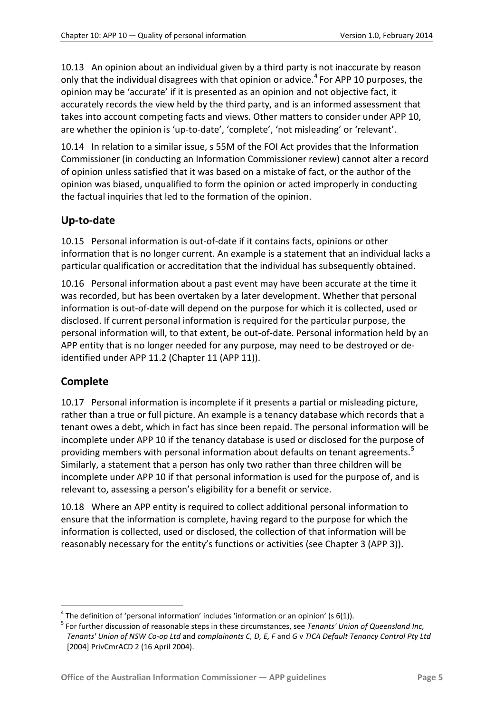10.13 An opinion about an individual given by a third party is not inaccurate by reason only that the individual disagrees with that opinion or advice.<sup>[4](#page-3-4)</sup> For APP 10 purposes, the opinion may be 'accurate' if it is presented as an opinion and not objective fact, it accurately records the view held by the third party, and is an informed assessment that takes into account competing facts and views. Other matters to consider under APP 10, are whether the opinion is 'up-to-date', 'complete', 'not misleading' or 'relevant'.

10.14 In relation to a similar issue, s 55M of the FOI Act provides that the Information Commissioner (in conducting an Information Commissioner review) cannot alter a record of opinion unless satisfied that it was based on a mistake of fact, or the author of the opinion was biased, unqualified to form the opinion or acted improperly in conducting the factual inquiries that led to the formation of the opinion.

#### <span id="page-4-0"></span>**Up-to-date**

10.15 Personal information is out-of-date if it contains facts, opinions or other information that is no longer current. An example is a statement that an individual lacks a particular qualification or accreditation that the individual has subsequently obtained.

10.16 Personal information about a past event may have been accurate at the time it was recorded, but has been overtaken by a later development. Whether that personal information is out-of-date will depend on the purpose for which it is collected, used or disclosed. If current personal information is required for the particular purpose, the personal information will, to that extent, be out-of-date. Personal information held by an APP entity that is no longer needed for any purpose, may need to be destroyed or deidentified under APP 11.2 (Chapter 11 (APP 11)).

#### <span id="page-4-1"></span>**Complete**

1

10.17 Personal information is incomplete if it presents a partial or misleading picture, rather than a true or full picture. An example is a tenancy database which records that a tenant owes a debt, which in fact has since been repaid. The personal information will be incomplete under APP 10 if the tenancy database is used or disclosed for the purpose of providing members with personal information about defaults on tenant agreements.<sup>[5](#page-4-2)</sup> Similarly, a statement that a person has only two rather than three children will be incomplete under APP 10 if that personal information is used for the purpose of, and is relevant to, assessing a person's eligibility for a benefit or service.

10.18 Where an APP entity is required to collect additional personal information to ensure that the information is complete, having regard to the purpose for which the information is collected, used or disclosed, the collection of that information will be reasonably necessary for the entity's functions or activities (see Chapter 3 (APP 3)).

 $4$  The definition of 'personal information' includes 'information or an opinion' (s 6(1)).

<span id="page-4-2"></span><sup>5</sup> For further discussion of reasonable steps in these circumstances, see *Tenants' Union of Queensland Inc, Tenants' Union of NSW Co-op Ltd* and *complainants C, D, E, F* and *G* v *TICA Default Tenancy Control Pty Ltd* [2004] PrivCmrACD 2 (16 April 2004).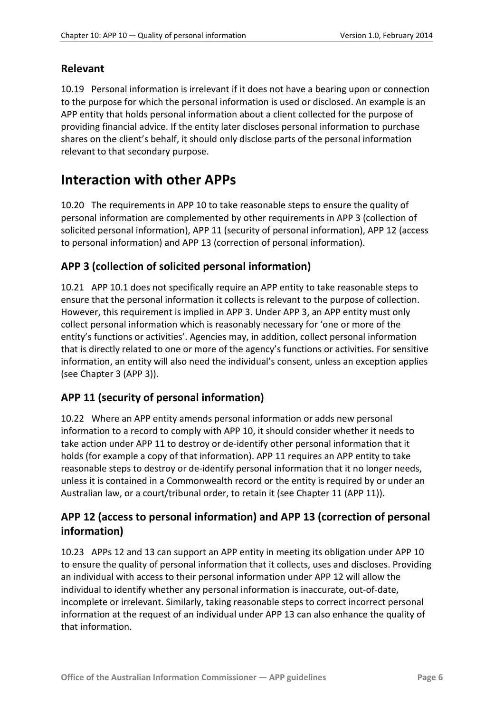#### <span id="page-5-0"></span>**Relevant**

10.19 Personal information is irrelevant if it does not have a bearing upon or connection to the purpose for which the personal information is used or disclosed. An example is an APP entity that holds personal information about a client collected for the purpose of providing financial advice. If the entity later discloses personal information to purchase shares on the client's behalf, it should only disclose parts of the personal information relevant to that secondary purpose.

### <span id="page-5-1"></span>**Interaction with other APPs**

10.20 The requirements in APP 10 to take reasonable steps to ensure the quality of personal information are complemented by other requirements in APP 3 (collection of solicited personal information), APP 11 (security of personal information), APP 12 (access to personal information) and APP 13 (correction of personal information).

#### <span id="page-5-2"></span>**APP 3 (collection of solicited personal information)**

<span id="page-5-5"></span>10.21 APP 10.1 does not specifically require an APP entity to take reasonable steps to ensure that the personal information it collects is relevant to the purpose of collection. However, this requirement is implied in APP 3. Under APP 3, an APP entity must only collect personal information which is reasonably necessary for 'one or more of the entity's functions or activities'. Agencies may, in addition, collect personal information that is directly related to one or more of the agency's functions or activities. For sensitive information, an entity will also need the individual's consent, unless an exception applies (see Chapter 3 (APP 3)).

#### <span id="page-5-3"></span>**APP 11 (security of personal information)**

10.22 Where an APP entity amends personal information or adds new personal information to a record to comply with APP 10, it should consider whether it needs to take action under APP 11 to destroy or de-identify other personal information that it holds (for example a copy of that information). APP 11 requires an APP entity to take reasonable steps to destroy or de-identify personal information that it no longer needs, unless it is contained in a Commonwealth record or the entity is required by or under an Australian law, or a court/tribunal order, to retain it (see Chapter 11 (APP 11)).

#### <span id="page-5-4"></span>**APP 12 (access to personal information) and APP 13 (correction of personal information)**

10.23 APPs 12 and 13 can support an APP entity in meeting its obligation under APP 10 to ensure the quality of personal information that it collects, uses and discloses. Providing an individual with access to their personal information under APP 12 will allow the individual to identify whether any personal information is inaccurate, out-of-date, incomplete or irrelevant. Similarly, taking reasonable steps to correct incorrect personal information at the request of an individual under APP 13 can also enhance the quality of that information.